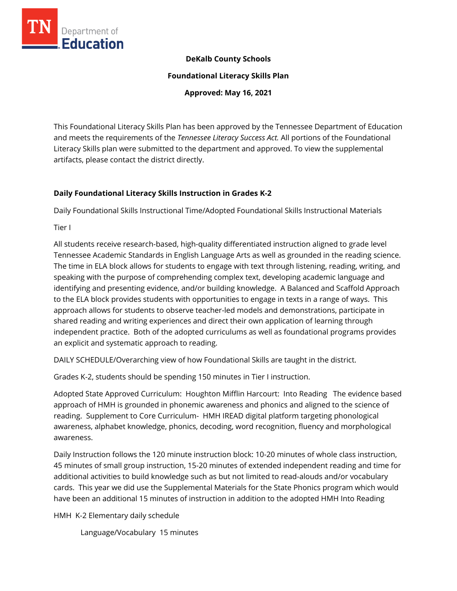

### **DeKalb County Schools**

**Foundational Literacy Skills Plan**

**Approved: May 16, 2021**

This Foundational Literacy Skills Plan has been approved by the Tennessee Department of Education and meets the requirements of the *Tennessee Literacy Success Act.* All portions of the Foundational Literacy Skills plan were submitted to the department and approved. To view the supplemental artifacts, please contact the district directly.

### **Daily Foundational Literacy Skills Instruction in Grades K-2**

Daily Foundational Skills Instructional Time/Adopted Foundational Skills Instructional Materials

Tier I

All students receive research-based, high-quality differentiated instruction aligned to grade level Tennessee Academic Standards in English Language Arts as well as grounded in the reading science. The time in ELA block allows for students to engage with text through listening, reading, writing, and speaking with the purpose of comprehending complex text, developing academic language and identifying and presenting evidence, and/or building knowledge. A Balanced and Scaffold Approach to the ELA block provides students with opportunities to engage in texts in a range of ways. This approach allows for students to observe teacher-led models and demonstrations, participate in shared reading and writing experiences and direct their own application of learning through independent practice. Both of the adopted curriculums as well as foundational programs provides an explicit and systematic approach to reading.

DAILY SCHEDULE/Overarching view of how Foundational Skills are taught in the district.

Grades K-2, students should be spending 150 minutes in Tier I instruction.

Adopted State Approved Curriculum: Houghton Mifflin Harcourt: Into Reading The evidence based approach of HMH is grounded in phonemic awareness and phonics and aligned to the science of reading. Supplement to Core Curriculum- HMH IREAD digital platform targeting phonological awareness, alphabet knowledge, phonics, decoding, word recognition, fluency and morphological awareness.

Daily Instruction follows the 120 minute instruction block: 10-20 minutes of whole class instruction, 45 minutes of small group instruction, 15-20 minutes of extended independent reading and time for additional activities to build knowledge such as but not limited to read-alouds and/or vocabulary cards. This year we did use the Supplemental Materials for the State Phonics program which would have been an additional 15 minutes of instruction in addition to the adopted HMH Into Reading

HMH K-2 Elementary daily schedule

Language/Vocabulary 15 minutes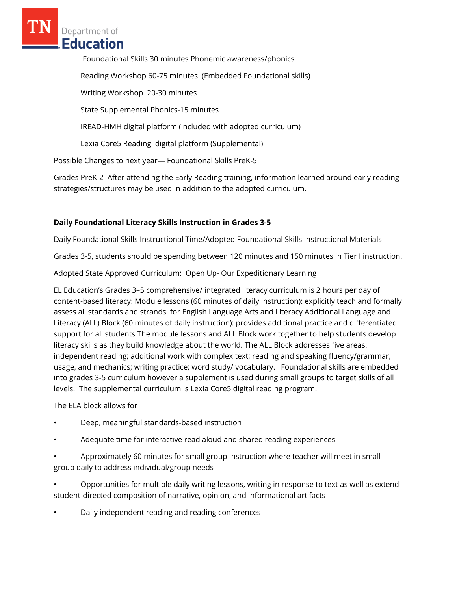Foundational Skills 30 minutes Phonemic awareness/phonics Reading Workshop 60-75 minutes (Embedded Foundational skills) Writing Workshop 20-30 minutes State Supplemental Phonics-15 minutes IREAD-HMH digital platform (included with adopted curriculum) Lexia Core5 Reading digital platform (Supplemental)

Possible Changes to next year— Foundational Skills PreK-5

Grades PreK-2 After attending the Early Reading training, information learned around early reading strategies/structures may be used in addition to the adopted curriculum.

# **Daily Foundational Literacy Skills Instruction in Grades 3-5**

Daily Foundational Skills Instructional Time/Adopted Foundational Skills Instructional Materials

Grades 3-5, students should be spending between 120 minutes and 150 minutes in Tier I instruction.

Adopted State Approved Curriculum: Open Up- Our Expeditionary Learning

EL Education's Grades 3–5 comprehensive/ integrated literacy curriculum is 2 hours per day of content-based literacy: Module lessons (60 minutes of daily instruction): explicitly teach and formally assess all standards and strands for English Language Arts and Literacy Additional Language and Literacy (ALL) Block (60 minutes of daily instruction): provides additional practice and differentiated support for all students The module lessons and ALL Block work together to help students develop literacy skills as they build knowledge about the world. The ALL Block addresses five areas: independent reading; additional work with complex text; reading and speaking fluency/grammar, usage, and mechanics; writing practice; word study/ vocabulary. Foundational skills are embedded into grades 3-5 curriculum however a supplement is used during small groups to target skills of all levels. The supplemental curriculum is Lexia Core5 digital reading program.

The ELA block allows for

- Deep, meaningful standards-based instruction
- Adequate time for interactive read aloud and shared reading experiences
- Approximately 60 minutes for small group instruction where teacher will meet in small group daily to address individual/group needs

• Opportunities for multiple daily writing lessons, writing in response to text as well as extend student-directed composition of narrative, opinion, and informational artifacts

• Daily independent reading and reading conferences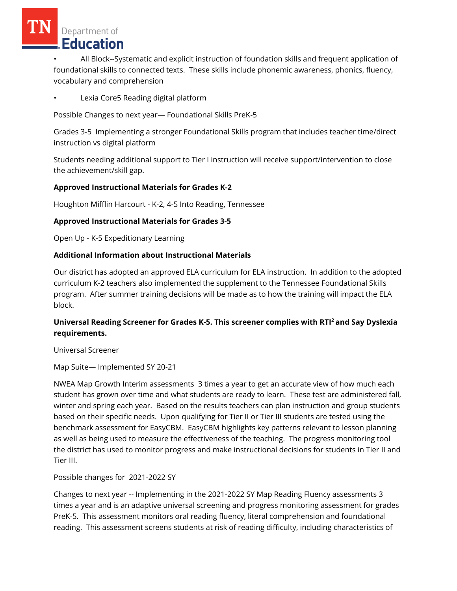• All Block--Systematic and explicit instruction of foundation skills and frequent application of foundational skills to connected texts. These skills include phonemic awareness, phonics, fluency, vocabulary and comprehension

Lexia Core5 Reading digital platform

Possible Changes to next year— Foundational Skills PreK-5

Grades 3-5 Implementing a stronger Foundational Skills program that includes teacher time/direct instruction vs digital platform

Students needing additional support to Tier I instruction will receive support/intervention to close the achievement/skill gap.

### **Approved Instructional Materials for Grades K-2**

Houghton Mifflin Harcourt - K-2, 4-5 Into Reading, Tennessee

### **Approved Instructional Materials for Grades 3-5**

Open Up - K-5 Expeditionary Learning

### **Additional Information about Instructional Materials**

Our district has adopted an approved ELA curriculum for ELA instruction. In addition to the adopted curriculum K-2 teachers also implemented the supplement to the Tennessee Foundational Skills program. After summer training decisions will be made as to how the training will impact the ELA block.

## **Universal Reading Screener for Grades K-5. This screener complies with RTI<sup>2</sup>and Say Dyslexia requirements.**

Universal Screener

Map Suite— Implemented SY 20-21

NWEA Map Growth Interim assessments 3 times a year to get an accurate view of how much each student has grown over time and what students are ready to learn. These test are administered fall, winter and spring each year. Based on the results teachers can plan instruction and group students based on their specific needs. Upon qualifying for Tier II or Tier III students are tested using the benchmark assessment for EasyCBM. EasyCBM highlights key patterns relevant to lesson planning as well as being used to measure the effectiveness of the teaching. The progress monitoring tool the district has used to monitor progress and make instructional decisions for students in Tier II and Tier III.

Possible changes for 2021-2022 SY

Changes to next year -- Implementing in the 2021-2022 SY Map Reading Fluency assessments 3 times a year and is an adaptive universal screening and progress monitoring assessment for grades PreK-5. This assessment monitors oral reading fluency, literal comprehension and foundational reading. This assessment screens students at risk of reading difficulty, including characteristics of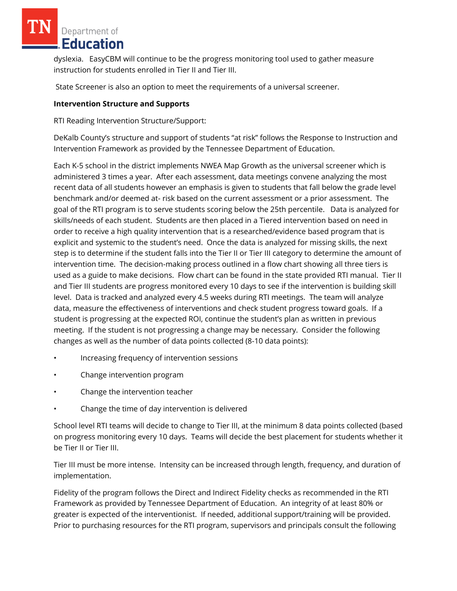dyslexia. EasyCBM will continue to be the progress monitoring tool used to gather measure instruction for students enrolled in Tier II and Tier III.

State Screener is also an option to meet the requirements of a universal screener.

### **Intervention Structure and Supports**

RTI Reading Intervention Structure/Support:

DeKalb County's structure and support of students "at risk" follows the Response to Instruction and Intervention Framework as provided by the Tennessee Department of Education.

Each K-5 school in the district implements NWEA Map Growth as the universal screener which is administered 3 times a year. After each assessment, data meetings convene analyzing the most recent data of all students however an emphasis is given to students that fall below the grade level benchmark and/or deemed at- risk based on the current assessment or a prior assessment. The goal of the RTI program is to serve students scoring below the 25th percentile. Data is analyzed for skills/needs of each student. Students are then placed in a Tiered intervention based on need in order to receive a high quality intervention that is a researched/evidence based program that is explicit and systemic to the student's need. Once the data is analyzed for missing skills, the next step is to determine if the student falls into the Tier II or Tier III category to determine the amount of intervention time. The decision-making process outlined in a flow chart showing all three tiers is used as a guide to make decisions. Flow chart can be found in the state provided RTI manual. Tier II and Tier III students are progress monitored every 10 days to see if the intervention is building skill level. Data is tracked and analyzed every 4.5 weeks during RTI meetings. The team will analyze data, measure the effectiveness of interventions and check student progress toward goals. If a student is progressing at the expected ROI, continue the student's plan as written in previous meeting. If the student is not progressing a change may be necessary. Consider the following changes as well as the number of data points collected (8-10 data points):

- Increasing frequency of intervention sessions
- Change intervention program
- Change the intervention teacher
- Change the time of day intervention is delivered

School level RTI teams will decide to change to Tier III, at the minimum 8 data points collected (based on progress monitoring every 10 days. Teams will decide the best placement for students whether it be Tier II or Tier III.

Tier III must be more intense. Intensity can be increased through length, frequency, and duration of implementation.

Fidelity of the program follows the Direct and Indirect Fidelity checks as recommended in the RTI Framework as provided by Tennessee Department of Education. An integrity of at least 80% or greater is expected of the interventionist. If needed, additional support/training will be provided. Prior to purchasing resources for the RTI program, supervisors and principals consult the following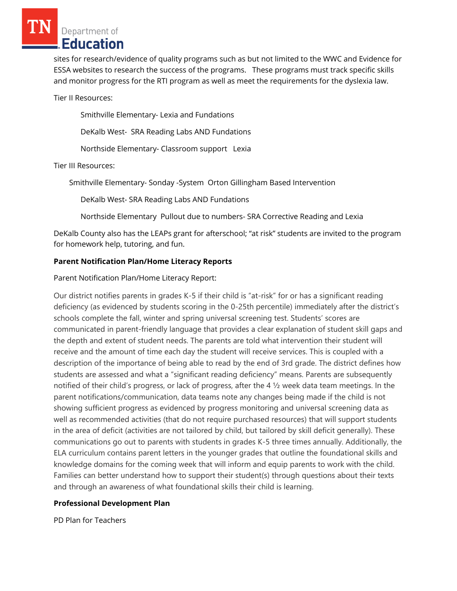sites for research/evidence of quality programs such as but not limited to the WWC and Evidence for ESSA websites to research the success of the programs. These programs must track specific skills and monitor progress for the RTI program as well as meet the requirements for the dyslexia law.

Tier II Resources:

Smithville Elementary- Lexia and Fundations

DeKalb West- SRA Reading Labs AND Fundations

Northside Elementary- Classroom support Lexia

Tier III Resources:

Smithville Elementary- Sonday -System Orton Gillingham Based Intervention

DeKalb West- SRA Reading Labs AND Fundations

Northside Elementary Pullout due to numbers- SRA Corrective Reading and Lexia

DeKalb County also has the LEAPs grant for afterschool; "at risk" students are invited to the program for homework help, tutoring, and fun.

### **Parent Notification Plan/Home Literacy Reports**

#### Parent Notification Plan/Home Literacy Report:

Our district notifies parents in grades K-5 if their child is "at-risk" for or has a significant reading deficiency (as evidenced by students scoring in the 0-25th percentile) immediately after the district's schools complete the fall, winter and spring universal screening test. Students' scores are communicated in parent-friendly language that provides a clear explanation of student skill gaps and the depth and extent of student needs. The parents are told what intervention their student will receive and the amount of time each day the student will receive services. This is coupled with a description of the importance of being able to read by the end of 3rd grade. The district defines how students are assessed and what a "significant reading deficiency" means. Parents are subsequently notified of their child's progress, or lack of progress, after the 4 ½ week data team meetings. In the parent notifications/communication, data teams note any changes being made if the child is not showing sufficient progress as evidenced by progress monitoring and universal screening data as well as recommended activities (that do not require purchased resources) that will support students in the area of deficit (activities are not tailored by child, but tailored by skill deficit generally). These communications go out to parents with students in grades K-5 three times annually. Additionally, the ELA curriculum contains parent letters in the younger grades that outline the foundational skills and knowledge domains for the coming week that will inform and equip parents to work with the child. Families can better understand how to support their student(s) through questions about their texts and through an awareness of what foundational skills their child is learning.

### **Professional Development Plan**

PD Plan for Teachers